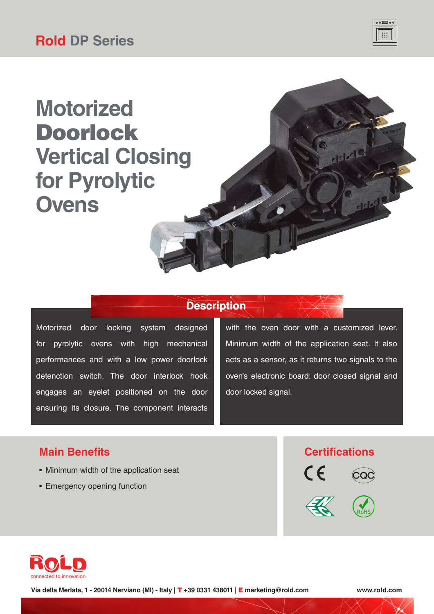

ddeds

dele

# **Motorized** Doorlock **Vertical Closing for Pyrolytic Ovens**

### **Description**

Motorized door locking system designed for pyrolytic ovens with high mechanical performances and with a low power doorlock detenction switch. The door interlock hook engages an eyelet positioned on the door ensuring its closure. The component interacts

with the oven door with a customized lever. Minimum width of the application seat. It also acts as a sensor, as it returns two signals to the oven's electronic board: door closed signal and door locked signal.

- Minimum width of the application seat
- Emergency opening function









**Via della Merlata, 1 - 20014 Nerviano (MI) - Italy |** T **+39 0331 438011 |** E **marketing@rold.com www.rold.com**